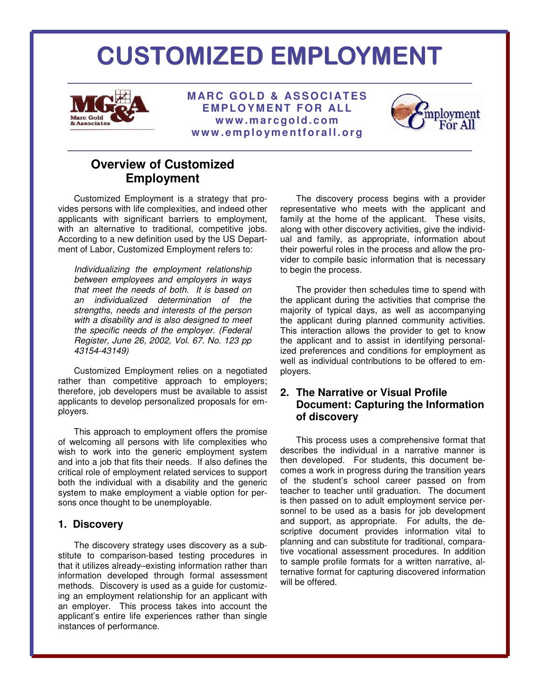# CUSTOMIZED EMPLOYMENT



**MARC GOLD & ASSOCIATES EMPLOYMENT FOR ALL w w w . m a r c g o l d . c o m w w w . e m p l o ym e n tf o r a l l . o r g** 



# **Overview of Customized Employment**

Customized Employment is a strategy that provides persons with life complexities, and indeed other applicants with significant barriers to employment, with an alternative to traditional, competitive jobs. According to a new definition used by the US Department of Labor, Customized Employment refers to:

Individualizing the employment relationship between employees and employers in ways that meet the needs of both. It is based on an individualized determination of the strengths, needs and interests of the person with a disability and is also designed to meet the specific needs of the employer. (Federal Register, June 26, 2002, Vol. 67. No. 123 pp 43154-43149)

Customized Employment relies on a negotiated rather than competitive approach to employers; therefore, job developers must be available to assist applicants to develop personalized proposals for employers.

This approach to employment offers the promise of welcoming all persons with life complexities who wish to work into the generic employment system and into a job that fits their needs. If also defines the critical role of employment related services to support both the individual with a disability and the generic system to make employment a viable option for persons once thought to be unemployable.

#### **1. Discovery**

The discovery strategy uses discovery as a substitute to comparison-based testing procedures in that it utilizes already–existing information rather than information developed through formal assessment methods. Discovery is used as a guide for customizing an employment relationship for an applicant with an employer. This process takes into account the applicant's entire life experiences rather than single instances of performance.

The discovery process begins with a provider representative who meets with the applicant and family at the home of the applicant. These visits, along with other discovery activities, give the individual and family, as appropriate, information about their powerful roles in the process and allow the provider to compile basic information that is necessary to begin the process.

The provider then schedules time to spend with the applicant during the activities that comprise the majority of typical days, as well as accompanying the applicant during planned community activities. This interaction allows the provider to get to know the applicant and to assist in identifying personalized preferences and conditions for employment as well as individual contributions to be offered to employers.

# **2. The Narrative or Visual Profile Document: Capturing the Information of discovery**

This process uses a comprehensive format that describes the individual in a narrative manner is then developed. For students, this document becomes a work in progress during the transition years of the student's school career passed on from teacher to teacher until graduation. The document is then passed on to adult employment service personnel to be used as a basis for job development and support, as appropriate. For adults, the descriptive document provides information vital to planning and can substitute for traditional, comparative vocational assessment procedures. In addition to sample profile formats for a written narrative, alternative format for capturing discovered information will be offered.